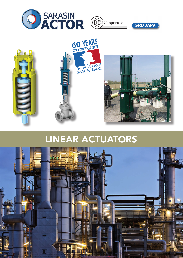







# LINEAR ACTUATORS